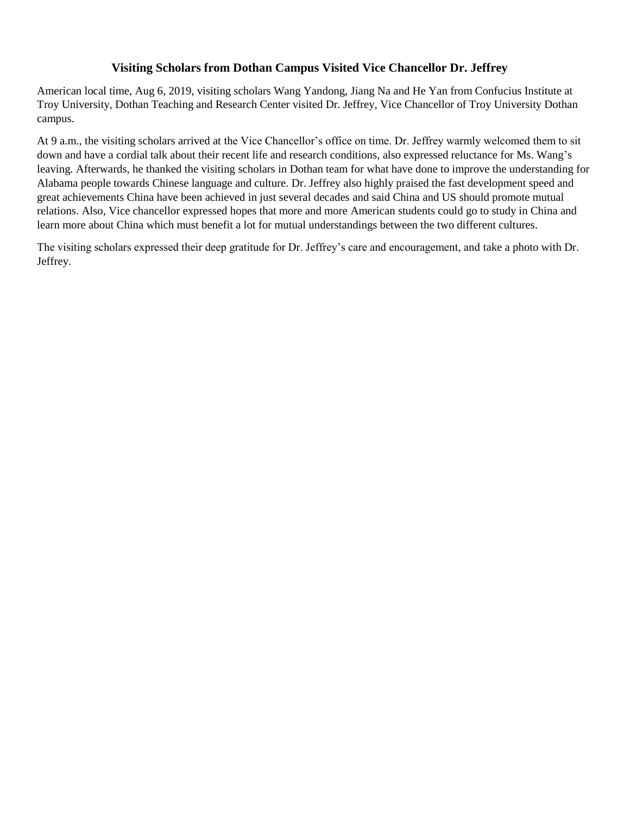## **Visiting Scholars from Dothan Campus Visited Vice Chancellor Dr. Jeffrey**

American local time, Aug 6, 2019, visiting scholars Wang Yandong, Jiang Na and He Yan from Confucius Institute at Troy University, Dothan Teaching and Research Center visited Dr. Jeffrey, Vice Chancellor of Troy University Dothan campus.

At 9 a.m., the visiting scholars arrived at the Vice Chancellor's office on time. Dr. Jeffrey warmly welcomed them to sit down and have a cordial talk about their recent life and research conditions, also expressed reluctance for Ms. Wang's leaving. Afterwards, he thanked the visiting scholars in Dothan team for what have done to improve the understanding for Alabama people towards Chinese language and culture. Dr. Jeffrey also highly praised the fast development speed and great achievements China have been achieved in just several decades and said China and US should promote mutual relations. Also, Vice chancellor expressed hopes that more and more American students could go to study in China and learn more about China which must benefit a lot for mutual understandings between the two different cultures.

The visiting scholars expressed their deep gratitude for Dr. Jeffrey's care and encouragement, and take a photo with Dr. Jeffrey.